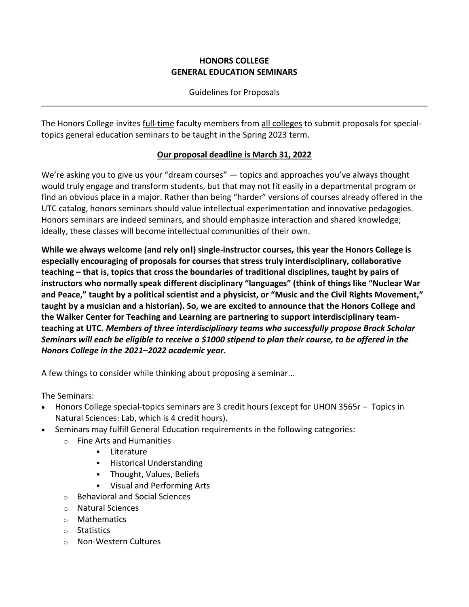#### **HONORS COLLEGE GENERAL EDUCATION SEMINARS**

Guidelines for Proposals

The Honors College invites full-time faculty members from all colleges to submit proposals for specialtopics general education seminars to be taught in the Spring 2023 term.

#### **Our proposal deadline is March 31, 2022**

We're asking you to give us your "dream courses" — topics and approaches you've always thought would truly engage and transform students, but that may not fit easily in a departmental program or find an obvious place in a major. Rather than being "harder" versions of courses already offered in the UTC catalog, honors seminars should value intellectual experimentation and innovative pedagogies. Honors seminars are indeed seminars, and should emphasize interaction and shared knowledge; ideally, these classes will become intellectual communities of their own.

**While we always welcome (and rely on!) single-instructor courses,** t**his year the Honors College is especially encouraging of proposals for courses that stress truly interdisciplinary, collaborative teaching – that is, topics that cross the boundaries of traditional disciplines, taught by pairs of instructors who normally speak different disciplinary "languages" (think of things like "Nuclear War and Peace," taught by a political scientist and a physicist, or "Music and the Civil Rights Movement," taught by a musician and a historian). So, we are excited to announce that the Honors College and the Walker Center for Teaching and Learning are partnering to support interdisciplinary teamteaching at UTC.** *Members of three interdisciplinary teams who successfully propose Brock Scholar Seminars will each be eligible to receive a \$1000 stipend to plan their course, to be offered in the Honors College in the 2021***–***2022 academic year.*

A few things to consider while thinking about proposing a seminar...

The Seminars:

- Honors College special-topics seminars are 3 credit hours (except for UHON 3565r Topics in Natural Sciences: Lab, which is 4 credit hours).
- Seminars may fulfill General Education requirements in the following categories:
	- o Fine Arts and Humanities
		- Literature
		- **■** Historical Understanding
		- Thought, Values, Beliefs
		- Visual and Performing Arts
	- o Behavioral and Social Sciences
	- o Natural Sciences
	- o Mathematics
	- o Statistics
	- o Non-Western Cultures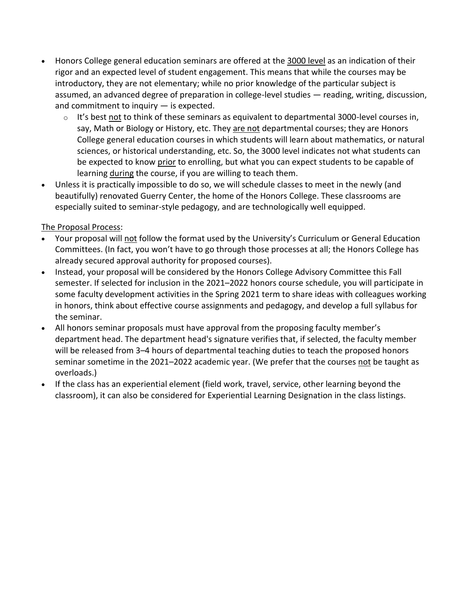- Honors College general education seminars are offered at the 3000 level as an indication of their rigor and an expected level of student engagement. This means that while the courses may be introductory, they are not elementary; while no prior knowledge of the particular subject is assumed, an advanced degree of preparation in college-level studies — reading, writing, discussion, and commitment to inquiry — is expected.
	- $\circ$  It's best not to think of these seminars as equivalent to departmental 3000-level courses in, say, Math or Biology or History, etc. They are not departmental courses; they are Honors College general education courses in which students will learn about mathematics, or natural sciences, or historical understanding, etc. So, the 3000 level indicates not what students can be expected to know prior to enrolling, but what you can expect students to be capable of learning during the course, if you are willing to teach them.
- Unless it is practically impossible to do so, we will schedule classes to meet in the newly (and beautifully) renovated Guerry Center, the home of the Honors College. These classrooms are especially suited to seminar-style pedagogy, and are technologically well equipped.

#### The Proposal Process:

- Your proposal will not follow the format used by the University's Curriculum or General Education Committees. (In fact, you won't have to go through those processes at all; the Honors College has already secured approval authority for proposed courses).
- Instead, your proposal will be considered by the Honors College Advisory Committee this Fall semester. If selected for inclusion in the 2021–2022 honors course schedule, you will participate in some faculty development activities in the Spring 2021 term to share ideas with colleagues working in honors, think about effective course assignments and pedagogy, and develop a full syllabus for the seminar.
- All honors seminar proposals must have approval from the proposing faculty member's department head. The department head's signature verifies that, if selected, the faculty member will be released from 3–4 hours of departmental teaching duties to teach the proposed honors seminar sometime in the 2021–2022 academic year. (We prefer that the courses not be taught as overloads.)
- If the class has an experiential element (field work, travel, service, other learning beyond the classroom), it can also be considered for Experiential Learning Designation in the class listings.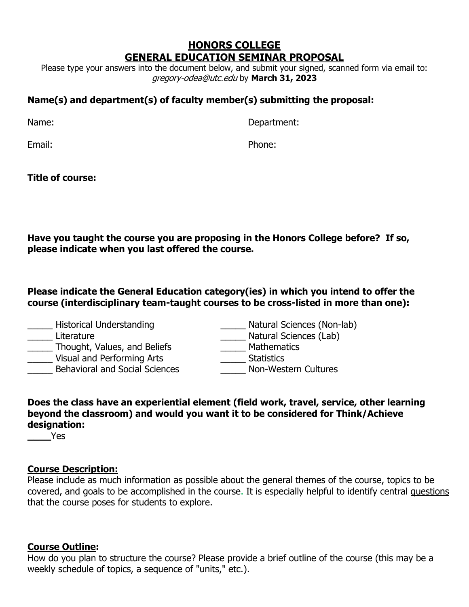# **HONORS COLLEGE GENERAL EDUCATION SEMINAR PROPOSAL**

Please type your answers into the document below, and submit your signed, scanned form via email to: gregory-odea@utc.edu by **March 31, 2023**

# **Name(s) and department(s) of faculty member(s) submitting the proposal:**

Name: Department:

Email: Phone:

**Title of course:**

**Have you taught the course you are proposing in the Honors College before? If so, please indicate when you last offered the course.**

**Please indicate the General Education category(ies) in which you intend to offer the course (interdisciplinary team-taught courses to be cross-listed in more than one):**

| <b>Historical Understanding</b>       | Natural Sciences (Non-lab) |
|---------------------------------------|----------------------------|
| Literature                            | Natural Sciences (Lab)     |
| Thought, Values, and Beliefs          | <b>Mathematics</b>         |
| Visual and Performing Arts            | <b>Statistics</b>          |
| <b>Behavioral and Social Sciences</b> | Non-Western Cultures       |
|                                       |                            |

### **Does the class have an experiential element (field work, travel, service, other learning beyond the classroom) and would you want it to be considered for Think/Achieve designation:**

**\_\_\_\_**Yes

## **Course Description:**

Please include as much information as possible about the general themes of the course, topics to be covered, and goals to be accomplished in the course. It is especially helpful to identify central questions that the course poses for students to explore.

## **Course Outline:**

How do you plan to structure the course? Please provide a brief outline of the course (this may be a weekly schedule of topics, a sequence of "units," etc.).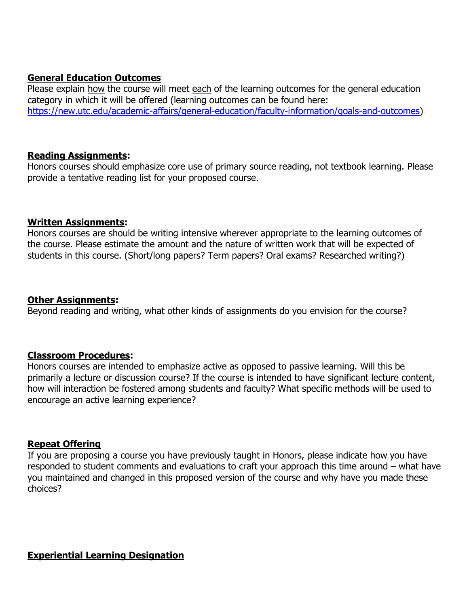#### **General Education Outcomes**

Please explain how the course will meet each of the learning outcomes for the general education category in which it will be offered (learning outcomes can be found here: [https://new.utc.edu/academic-affairs/general-education/faculty-information/goals-and-outcomes\)](https://new.utc.edu/academic-affairs/general-education/faculty-information/goals-and-outcomes)

#### **Reading Assignments:**

Honors courses should emphasize core use of primary source reading, not textbook learning. Please provide a tentative reading list for your proposed course.

#### **Written Assignments:**

Honors courses are should be writing intensive wherever appropriate to the learning outcomes of the course. Please estimate the amount and the nature of written work that will be expected of students in this course. (Short/long papers? Term papers? Oral exams? Researched writing?)

#### **Other Assignments:**

Beyond reading and writing, what other kinds of assignments do you envision for the course?

### **Classroom Procedures:**

Honors courses are intended to emphasize active as opposed to passive learning. Will this be primarily a lecture or discussion course? If the course is intended to have significant lecture content, how will interaction be fostered among students and faculty? What specific methods will be used to encourage an active learning experience?

### **Repeat Offering**

If you are proposing a course you have previously taught in Honors, please indicate how you have responded to student comments and evaluations to craft your approach this time around – what have you maintained and changed in this proposed version of the course and why have you made these choices?

#### **Experiential Learning Designation**